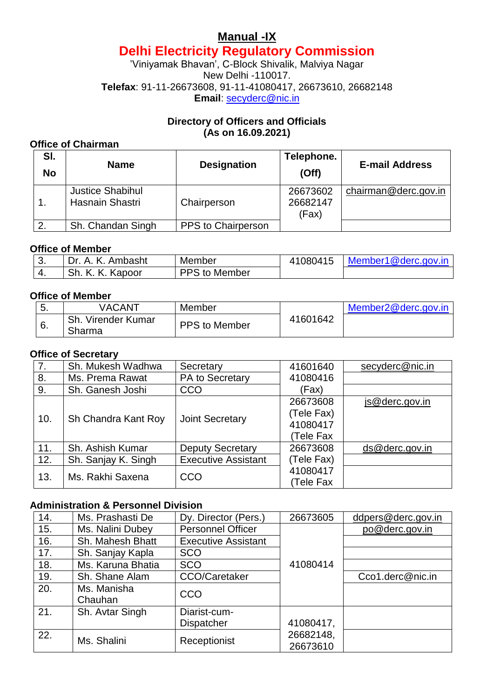# **Manual -IX Delhi Electricity Regulatory Commission**

'Viniyamak Bhavan', C-Block Shivalik, Malviya Nagar New Delhi -110017. **Telefax**: 91-11-26673608, 91-11-41080417, 26673610, 26682148 **Email**: [secyderc@nic.in](mailto:secyderc@nic.in)

## **Directory of Officers and Officials (As on 16.09.2021)**

## **Office of Chairman**

| SI.<br><b>No</b> | <b>Name</b>                                | <b>Designation</b> | Telephone.<br>(Off)           | <b>E-mail Address</b> |
|------------------|--------------------------------------------|--------------------|-------------------------------|-----------------------|
|                  | <b>Justice Shabihul</b><br>Hasnain Shastri | Chairperson        | 26673602<br>26682147<br>(Fax) | chairman@derc.gov.in  |
|                  | Sh. Chandan Singh                          | PPS to Chairperson |                               |                       |

#### **Office of Member**

| J.  | Ambasht                    | Member        | 1080415 | Member1@derc.gov.in |
|-----|----------------------------|---------------|---------|---------------------|
| -4. | Sh.<br>Κ.<br>. Kapoor<br>K | Member<br>$+$ |         |                     |

#### **Office of Member**

| J. | VACANT                       | Member        |          | Member2@derc.gov.in |
|----|------------------------------|---------------|----------|---------------------|
| 6. | Sh. Virender Kumar<br>Sharma | PPS to Member | 41601642 |                     |

#### **Office of Secretary**

| 7.  | Sh. Mukesh Wadhwa   | Secretary                  | 41601640              | secyderc@nic.in |
|-----|---------------------|----------------------------|-----------------------|-----------------|
| 8.  | Ms. Prema Rawat     | PA to Secretary            | 41080416              |                 |
| 9.  | Sh. Ganesh Joshi    | CCO                        | (Fax)                 |                 |
|     |                     |                            | 26673608              | js@derc.gov.in  |
| 10. | Sh Chandra Kant Roy | <b>Joint Secretary</b>     | (Tele Fax)            |                 |
|     |                     |                            | 41080417              |                 |
|     |                     |                            | (Tele Fax             |                 |
| 11. | Sh. Ashish Kumar    | <b>Deputy Secretary</b>    | 26673608              | ds@derc.gov.in  |
| 12. | Sh. Sanjay K. Singh | <b>Executive Assistant</b> | (Tele Fax)            |                 |
| 13. | Ms. Rakhi Saxena    | CCO                        | 41080417<br>(Tele Fax |                 |

## **Administration & Personnel Division**

| 14. | Ms. Prashasti De  | Dy. Director (Pers.)       | 26673605  | ddpers@derc.gov.in |
|-----|-------------------|----------------------------|-----------|--------------------|
| 15. | Ms. Nalini Dubey  | <b>Personnel Officer</b>   |           | po@derc.gov.in     |
| 16. | Sh. Mahesh Bhatt  | <b>Executive Assistant</b> |           |                    |
| 17. | Sh. Sanjay Kapla  | <b>SCO</b>                 |           |                    |
| 18. | Ms. Karuna Bhatia | <b>SCO</b>                 | 41080414  |                    |
| 19. | Sh. Shane Alam    | <b>CCO/Caretaker</b>       |           | Cco1.derc@nic.in   |
| 20. | Ms. Manisha       | CCO                        |           |                    |
|     | Chauhan           |                            |           |                    |
| 21. | Sh. Avtar Singh   | Diarist-cum-               |           |                    |
|     |                   | <b>Dispatcher</b>          | 41080417, |                    |
| 22. | Ms. Shalini       | Receptionist               | 26682148, |                    |
|     |                   |                            | 26673610  |                    |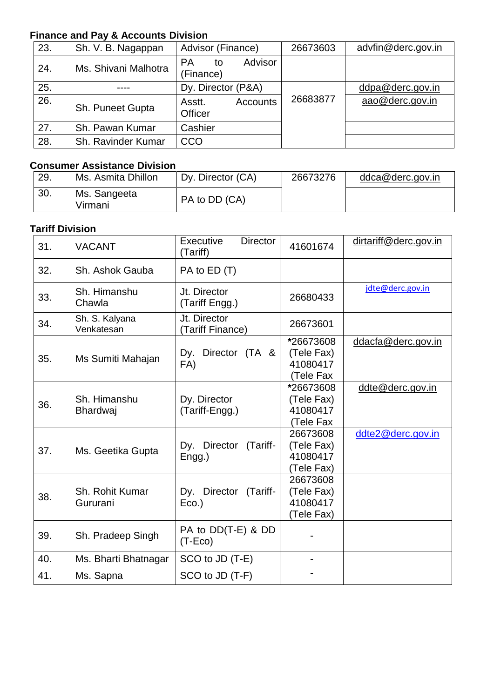## **Finance and Pay & Accounts Division**

| 23. | Sh. V. B. Nagappan   | Advisor (Finance)                       | 26673603 | advfin@derc.gov.in |
|-----|----------------------|-----------------------------------------|----------|--------------------|
| 24. | Ms. Shivani Malhotra | Advisor<br><b>PA</b><br>to<br>(Finance) |          |                    |
| 25. |                      | Dy. Director (P&A)                      |          | ddpa@derc.gov.in   |
| 26. | Sh. Puneet Gupta     | Asstt.<br>Accounts<br><b>Officer</b>    | 26683877 | aao@derc.gov.in    |
| 27. | Sh. Pawan Kumar      | Cashier                                 |          |                    |
| 28. | Sh. Ravinder Kumar   | CCO                                     |          |                    |

## **Consumer Assistance Division**

| 29. | Ms. Asmita Dhillon      | Dy. Director (CA) | 26673276 | ddca@derc.gov.in |
|-----|-------------------------|-------------------|----------|------------------|
| 30. | Ms. Sangeeta<br>Virmani | PA to DD (CA)     |          |                  |

## **Tariff Division**

| 31. | <b>VACANT</b>                   | Executive<br><b>Director</b><br>(Tariff) | 41601674                                         | dirtariff@derc.gov.in |
|-----|---------------------------------|------------------------------------------|--------------------------------------------------|-----------------------|
| 32. | Sh. Ashok Gauba                 | PA to ED (T)                             |                                                  |                       |
| 33. | Sh. Himanshu<br>Chawla          | Jt. Director<br>(Tariff Engg.)           | 26680433                                         | jdte@derc.gov.in      |
| 34. | Sh. S. Kalyana<br>Venkatesan    | Jt. Director<br>(Tariff Finance)         | 26673601                                         |                       |
| 35. | Ms Sumiti Mahajan               | Director (TA &<br>Dy.<br>FA)             | *26673608<br>(Tele Fax)<br>41080417<br>(Tele Fax | ddacfa@derc.gov.in    |
| 36. | Sh. Himanshu<br><b>Bhardwaj</b> | Dy. Director<br>(Tariff-Engg.)           | *26673608<br>(Tele Fax)<br>41080417<br>(Tele Fax | ddte@derc.gov.in      |
| 37. | Ms. Geetika Gupta               | Dy. Director (Tariff-<br>Engg.)          | 26673608<br>(Tele Fax)<br>41080417<br>(Tele Fax) | ddte2@derc.gov.in     |
| 38. | Sh. Rohit Kumar<br>Gururani     | Dy. Director (Tariff-<br>$Eco.$ )        | 26673608<br>(Tele Fax)<br>41080417<br>(Tele Fax) |                       |
| 39. | Sh. Pradeep Singh               | PA to DD(T-E) & DD<br>$(T-Eco)$          |                                                  |                       |
| 40. | Ms. Bharti Bhatnagar            | SCO to JD (T-E)                          |                                                  |                       |
| 41. | Ms. Sapna                       | SCO to JD (T-F)                          |                                                  |                       |